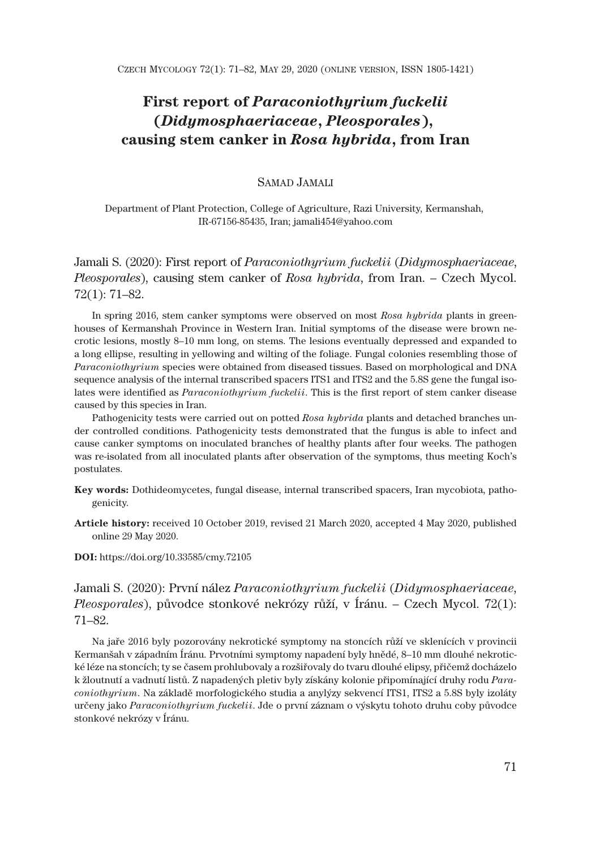# **First report of** *Paraconiothyrium fuckelii* **(***Didymosphaeriaceae***,** *Pleosporales***), causing stem canker in** *Rosa hybrida***, from Iran**

# SAMAD JAMALI

Department of Plant Protection, College of Agriculture, Razi University, Kermanshah, IR-67156-85435, Iran; jamali454@yahoo.com

Jamali S. (2020): First report of *Paraconiothyrium fuckelii* (*Didymosphaeriaceae*, *Pleosporales*), causing stem canker of *Rosa hybrida*, from Iran. – Czech Mycol. 72(1): 71–82.

In spring 2016, stem canker symptoms were observed on most *Rosa hybrida* plants in greenhouses of Kermanshah Province in Western Iran. Initial symptoms of the disease were brown necrotic lesions, mostly 8–10 mm long, on stems. The lesions eventually depressed and expanded to a long ellipse, resulting in yellowing and wilting of the foliage. Fungal colonies resembling those of *Paraconiothyrium* species were obtained from diseased tissues. Based on morphological and DNA sequence analysis of the internal transcribed spacers ITS1 and ITS2 and the 5.8S gene the fungal isolates were identified as *Paraconiothyrium fuckelii*. This is the first report of stem canker disease caused by this species in Iran.

Pathogenicity tests were carried out on potted *Rosa hybrida* plants and detached branches under controlled conditions. Pathogenicity tests demonstrated that the fungus is able to infect and cause canker symptoms on inoculated branches of healthy plants after four weeks. The pathogen was re-isolated from all inoculated plants after observation of the symptoms, thus meeting Koch's postulates.

- **Key words:** Dothideomycetes, fungal disease, internal transcribed spacers, Iran mycobiota, pathogenicity.
- **Article history:** received 10 October 2019, revised 21 March 2020, accepted 4 May 2020, published online 29 May 2020.

**DOI:** https://doi.org/10.33585/cmy.72105

Jamali S. (2020): První nález *Paraconiothyrium fuckelii* (*Didymosphaeriaceae*, *Pleosporales*), původce stonkové nekrózy růží, v Íránu. – Czech Mycol. 72(1): 71–82.

Na jaře 2016 byly pozorovány nekrotické symptomy na stoncích růží ve sklenících v provincii Kermanšah v západním Íránu. Prvotními symptomy napadení byly hnědé, 8–10 mm dlouhé nekrotické léze na stoncích; ty se časem prohlubovaly a rozšiřovaly do tvaru dlouhé elipsy, přičemž docházelo k žloutnutí a vadnutí listů. Z napadených pletiv byly získány kolonie připomínající druhy rodu *Paraconiothyrium*. Na základě morfologického studia a anylýzy sekvencí ITS1, ITS2 a 5.8S byly izoláty určeny jako *Paraconiothyrium fuckelii*. Jde o první záznam o výskytu tohoto druhu coby původce stonkové nekrózy v Íránu.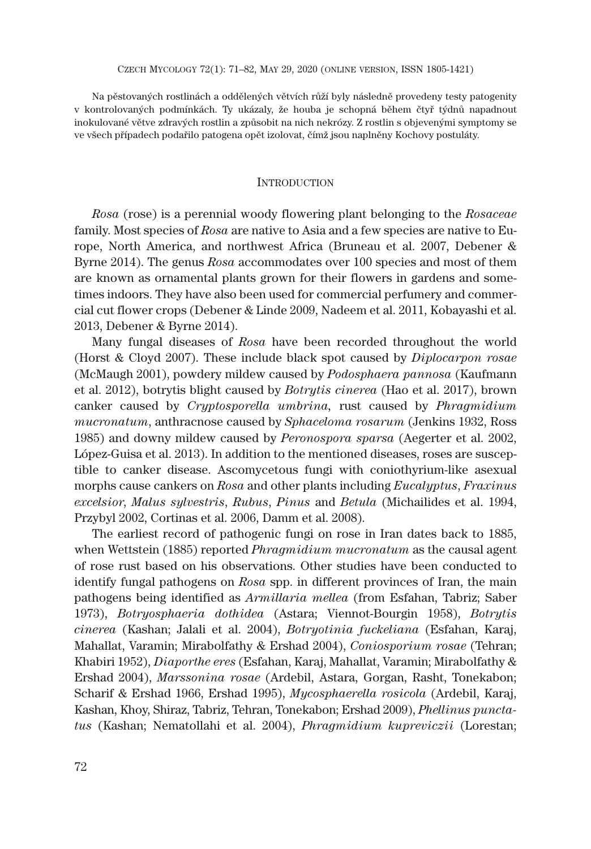Na pěstovaných rostlinách a oddělených větvích růží byly následně provedeny testy patogenity v kontrolovaných podmínkách. Ty ukázaly, že houba je schopná během čtyř týdnů napadnout inokulované větve zdravých rostlin a způsobit na nich nekrózy. Z rostlin s objevenými symptomy se ve všech případech podařilo patogena opět izolovat, čímž jsou naplněny Kochovy postuláty.

# **INTRODUCTION**

*Rosa* (rose) is a perennial woody flowering plant belonging to the *Rosaceae* family. Most species of *Rosa* are native to Asia and a few species are native to Europe, North America, and northwest Africa (Bruneau et al. 2007, Debener & Byrne 2014). The genus *Rosa* accommodates over 100 species and most of them are known as ornamental plants grown for their flowers in gardens and sometimes indoors. They have also been used for commercial perfumery and commercial cut flower crops (Debener & Linde 2009, Nadeem et al. 2011, Kobayashi et al. 2013, Debener & Byrne 2014).

Many fungal diseases of *Rosa* have been recorded throughout the world (Horst & Cloyd 2007). These include black spot caused by *Diplocarpon rosae* (McMaugh 2001), powdery mildew caused by *Podosphaera pannosa* (Kaufmann et al. 2012), botrytis blight caused by *Botrytis cinerea* (Hao et al. 2017), brown canker caused by *Cryptosporella umbrina,* rust caused by *Phragmidium mucronatum*, anthracnose caused by *Sphaceloma rosarum* (Jenkins 1932, Ross 1985) and downy mildew caused by *Peronospora sparsa* (Aegerter et al. 2002, López-Guisa et al. 2013). In addition to the mentioned diseases, roses are susceptible to canker disease. Ascomycetous fungi with coniothyrium-like asexual morphs cause cankers on *Rosa* and other plants including *Eucalyptus*, *Fraxinus excelsior*, *Malus sylvestris*, *Rubus*, *Pinus* and *Betula* (Michailides et al. 1994, Przybyl 2002, Cortinas et al. 2006, Damm et al. 2008).

The earliest record of pathogenic fungi on rose in Iran dates back to 1885, when Wettstein (1885) reported *Phragmidium mucronatum* as the causal agent of rose rust based on his observations. Other studies have been conducted to identify fungal pathogens on *Rosa* spp. in different provinces of Iran, the main pathogens being identified as *Armillaria mellea* (from Esfahan, Tabriz; Saber 1973), *Botryosphaeria dothidea* (Astara; Viennot-Bourgin 1958), *Botrytis cinerea* (Kashan; Jalali et al. 2004), *Botryotinia fuckeliana* (Esfahan, Karaj, Mahallat, Varamin; Mirabolfathy & Ershad 2004), *Coniosporium rosae* (Tehran; Khabiri 1952), *Diaporthe eres* (Esfahan, Karaj, Mahallat, Varamin; Mirabolfathy & Ershad 2004), *Marssonina rosae* (Ardebil, Astara, Gorgan, Rasht, Tonekabon; Scharif & Ershad 1966, Ershad 1995), *Mycosphaerella rosicola* (Ardebil, Karaj, Kashan, Khoy, Shiraz, Tabriz, Tehran, Tonekabon; Ershad 2009), *Phellinus punctatus* (Kashan; Nematollahi et al. 2004), *Phragmidium kupreviczii* (Lorestan;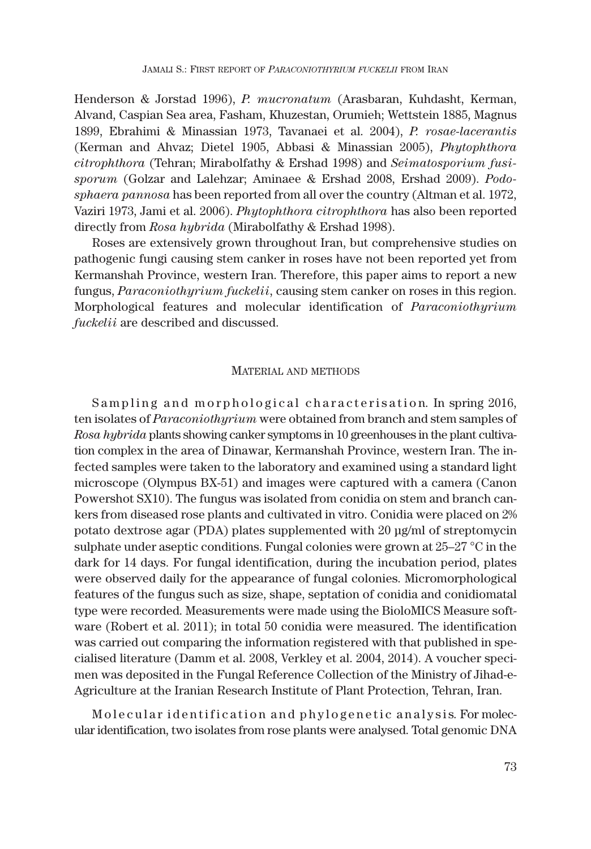Henderson & Jorstad 1996), *P. mucronatum* (Arasbaran, Kuhdasht, Kerman, Alvand, Caspian Sea area, Fasham, Khuzestan, Orumieh; Wettstein 1885, Magnus 1899, Ebrahimi & Minassian 1973, Tavanaei et al. 2004), *P. rosae-lacerantis* (Kerman and Ahvaz; Dietel 1905, Abbasi & Minassian 2005), *Phytophthora citrophthora* (Tehran; Mirabolfathy & Ershad 1998) and *Seimatosporium fusisporum* (Golzar and Lalehzar; Aminaee & Ershad 2008, Ershad 2009). *Podosphaera pannosa* has been reported from all over the country (Altman et al. 1972, Vaziri 1973, Jami et al. 2006). *Phytophthora citrophthora* has also been reported directly from *Rosa hybrida* (Mirabolfathy & Ershad 1998).

Roses are extensively grown throughout Iran, but comprehensive studies on pathogenic fungi causing stem canker in roses have not been reported yet from Kermanshah Province, western Iran. Therefore, this paper aims to report a new fungus, *Paraconiothyrium fuckelii*, causing stem canker on roses in this region. Morphological features and molecular identification of *Paraconiothyrium fuckelii* are described and discussed.

### MATERIAL AND METHODS

Sampling and morphological characterisation. In spring 2016, ten isolates of *Paraconiothyrium* were obtained from branch and stem samples of *Rosa hybrida* plants showing canker symptoms in 10 greenhouses in the plant cultivation complex in the area of Dinawar, Kermanshah Province, western Iran. The infected samples were taken to the laboratory and examined using a standard light microscope (Olympus BX-51) and images were captured with a camera (Canon Powershot SX10). The fungus was isolated from conidia on stem and branch cankers from diseased rose plants and cultivated in vitro. Conidia were placed on 2% potato dextrose agar (PDA) plates supplemented with 20 μg/ml of streptomycin sulphate under aseptic conditions. Fungal colonies were grown at 25–27 °C in the dark for 14 days. For fungal identification, during the incubation period, plates were observed daily for the appearance of fungal colonies. Micromorphological features of the fungus such as size, shape, septation of conidia and conidiomatal type were recorded. Measurements were made using the BioloMICS Measure software (Robert et al. 2011); in total 50 conidia were measured. The identification was carried out comparing the information registered with that published in specialised literature (Damm et al. 2008, Verkley et al. 2004, 2014). A voucher specimen was deposited in the Fungal Reference Collection of the Ministry of Jihad-e-Agriculture at the Iranian Research Institute of Plant Protection, Tehran, Iran.

Molecular identification and phylogenetic analysis. For molecular identification, two isolates from rose plants were analysed. Total genomic DNA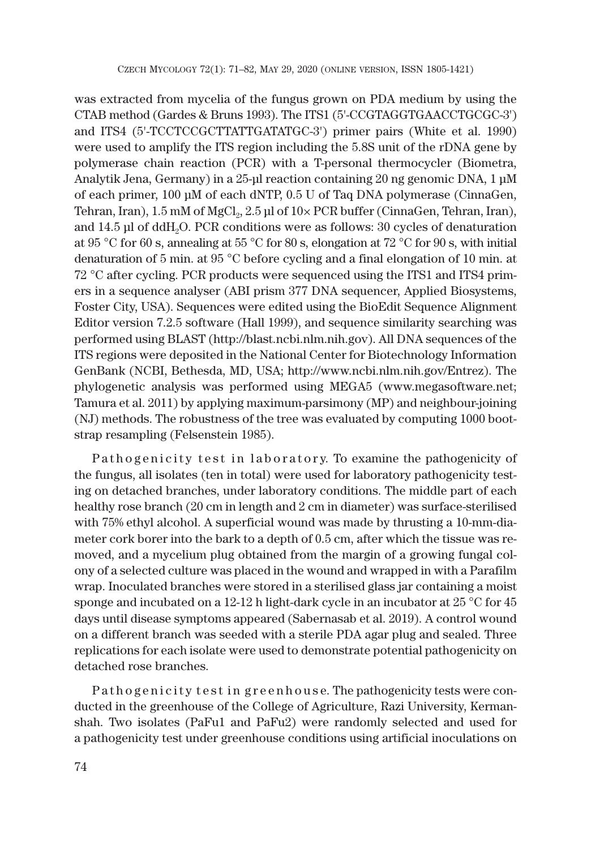was extracted from mycelia of the fungus grown on PDA medium by using the CTAB method (Gardes & Bruns 1993). The ITS1 (5'-CCGTAGGTGAACCTGCGC-3') and ITS4 (5'-TCCTCCGCTTATTGATATGC-3') primer pairs (White et al. 1990) were used to amplify the ITS region including the 5.8S unit of the rDNA gene by polymerase chain reaction (PCR) with a T-personal thermocycler (Biometra, Analytik Jena, Germany) in a 25-μl reaction containing 20 ng genomic DNA, 1 μM of each primer, 100 μM of each dNTP, 0.5 U of Taq DNA polymerase (CinnaGen, Tehran, Iran),  $1.5 \text{ mM of MgCl}_2$ ,  $2.5 \text{ pl of } 10 \times \text{PCR buffer (CinnaGen, Tehran, Iran)}$ , and 14.5 μl of ddH2O. PCR conditions were as follows: 30 cycles of denaturation at 95 °C for 60 s, annealing at 55 °C for 80 s, elongation at 72 °C for 90 s, with initial denaturation of 5 min. at 95 °C before cycling and a final elongation of 10 min. at 72 °C after cycling. PCR products were sequenced using the ITS1 and ITS4 primers in a sequence analyser (ABI prism 377 DNA sequencer, Applied Biosystems, Foster City, USA). Sequences were edited using the BioEdit Sequence Alignment Editor version 7.2.5 software (Hall 1999), and sequence similarity searching was performed using BLAST (http://blast.ncbi.nlm.nih.gov). All DNA sequences of the ITS regions were deposited in the National Center for Biotechnology Information GenBank (NCBI, Bethesda, MD, USA; http://www.ncbi.nlm.nih.gov/Entrez). The phylogenetic analysis was performed using MEGA5 (www.megasoftware.net; Tamura et al. 2011) by applying maximum-parsimony (MP) and neighbour-joining (NJ) methods. The robustness of the tree was evaluated by computing 1000 bootstrap resampling (Felsenstein 1985).

Pathogenicity test in laboratory. To examine the pathogenicity of the fungus, all isolates (ten in total) were used for laboratory pathogenicity testing on detached branches, under laboratory conditions. The middle part of each healthy rose branch (20 cm in length and 2 cm in diameter) was surface-sterilised with 75% ethyl alcohol. A superficial wound was made by thrusting a 10-mm-diameter cork borer into the bark to a depth of 0.5 cm, after which the tissue was removed, and a mycelium plug obtained from the margin of a growing fungal colony of a selected culture was placed in the wound and wrapped in with a Parafilm wrap. Inoculated branches were stored in a sterilised glass jar containing a moist sponge and incubated on a 12-12 h light-dark cycle in an incubator at 25 °C for 45 days until disease symptoms appeared (Sabernasab et al. 2019). A control wound on a different branch was seeded with a sterile PDA agar plug and sealed. Three replications for each isolate were used to demonstrate potential pathogenicity on detached rose branches.

P athogenicity test in greenhouse. The pathogenicity tests were conducted in the greenhouse of the College of Agriculture, Razi University, Kermanshah. Two isolates (PaFu1 and PaFu2) were randomly selected and used for a pathogenicity test under greenhouse conditions using artificial inoculations on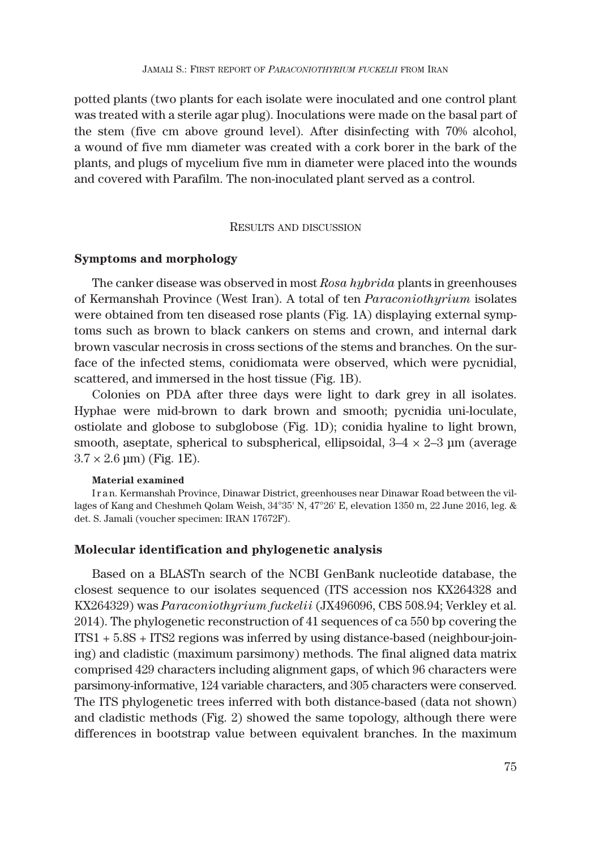potted plants (two plants for each isolate were inoculated and one control plant was treated with a sterile agar plug). Inoculations were made on the basal part of the stem (five cm above ground level). After disinfecting with 70% alcohol, a wound of five mm diameter was created with a cork borer in the bark of the plants, and plugs of mycelium five mm in diameter were placed into the wounds and covered with Parafilm. The non-inoculated plant served as a control.

### RESULTS AND DISCUSSION

### **Symptoms and morphology**

The canker disease was observed in most *Rosa hybrida* plants in greenhouses of Kermanshah Province (West Iran). A total of ten *Paraconiothyrium* isolates were obtained from ten diseased rose plants (Fig. 1A) displaying external symptoms such as brown to black cankers on stems and crown, and internal dark brown vascular necrosis in cross sections of the stems and branches. On the surface of the infected stems, conidiomata were observed, which were pycnidial, scattered, and immersed in the host tissue (Fig. 1B).

Colonies on PDA after three days were light to dark grey in all isolates. Hyphae were mid-brown to dark brown and smooth; pycnidia uni-loculate, ostiolate and globose to subglobose (Fig. 1D); conidia hyaline to light brown, smooth, aseptate, spherical to subspherical, ellipsoidal,  $3-4 \times 2-3$  µm (average  $3.7 \times 2.6 \,\mathrm{\mu m}$ ) (Fig. 1E).

#### **Material examined**

I r a n. Kermanshah Province, Dinawar District, greenhouses near Dinawar Road between the villages of Kang and Cheshmeh Qolam Weish, 34°35' N, 47°26' E, elevation 1350 m, 22 June 2016, leg. & det. S. Jamali (voucher specimen: IRAN 17672F).

# **Molecular identification and phylogenetic analysis**

Based on a BLASTn search of the NCBI GenBank nucleotide database, the closest sequence to our isolates sequenced (ITS accession nos KX264328 and KX264329) was *Paraconiothyrium fuckelii* (JX496096, CBS 508.94; Verkley et al. 2014). The phylogenetic reconstruction of 41 sequences of ca 550 bp covering the ITS1 + 5.8S + ITS2 regions was inferred by using distance-based (neighbour-joining) and cladistic (maximum parsimony) methods. The final aligned data matrix comprised 429 characters including alignment gaps, of which 96 characters were parsimony-informative, 124 variable characters, and 305 characters were conserved. The ITS phylogenetic trees inferred with both distance-based (data not shown) and cladistic methods (Fig. 2) showed the same topology, although there were differences in bootstrap value between equivalent branches. In the maximum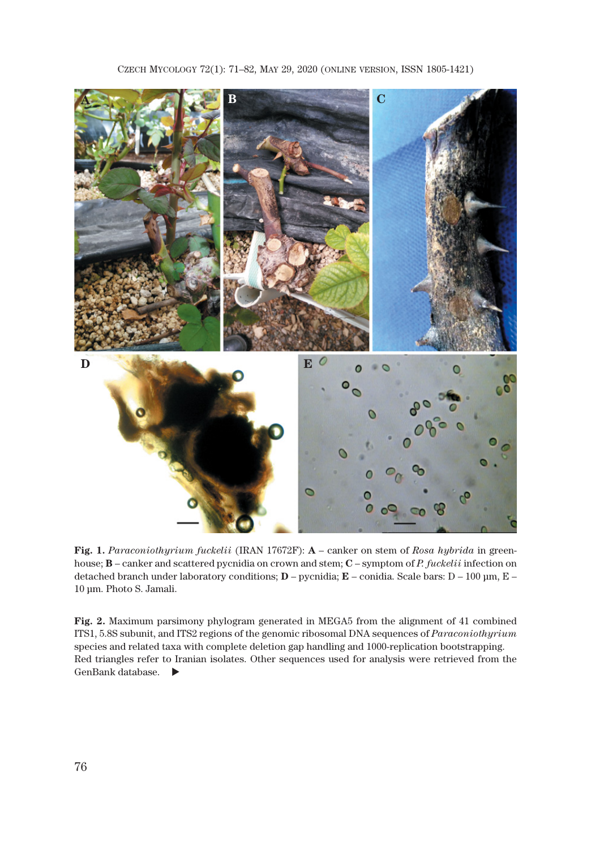

**Fig. 1.** *Paraconiothyrium fuckelii* (IRAN 17672F): **A** – canker on stem of *Rosa hybrida* in greenhouse; **B** – canker and scattered pycnidia on crown and stem; **C** – symptom of *P. fuckelii* infection on detached branch under laboratory conditions; **D** – pycnidia; **E** – conidia. Scale bars: D – 100 μm, E – 10 μm. Photo S. Jamali.

**Fig. 2.** Maximum parsimony phylogram generated in MEGA5 from the alignment of 41 combined ITS1, 5.8S subunit, and ITS2 regions of the genomic ribosomal DNA sequences of *Paraconiothyrium* species and related taxa with complete deletion gap handling and 1000-replication bootstrapping. Red triangles refer to Iranian isolates. Other sequences used for analysis were retrieved from the GenBank database.  $\blacktriangleright$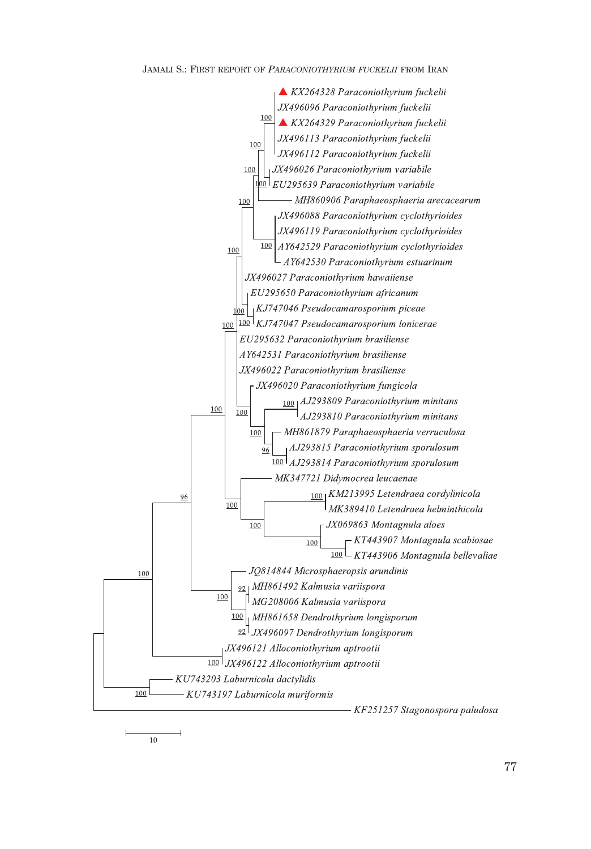#### JAMALI S.: FIRST REPORT OF *PARACONIOTHYRIUM FUCKELII* FROM IRAN



77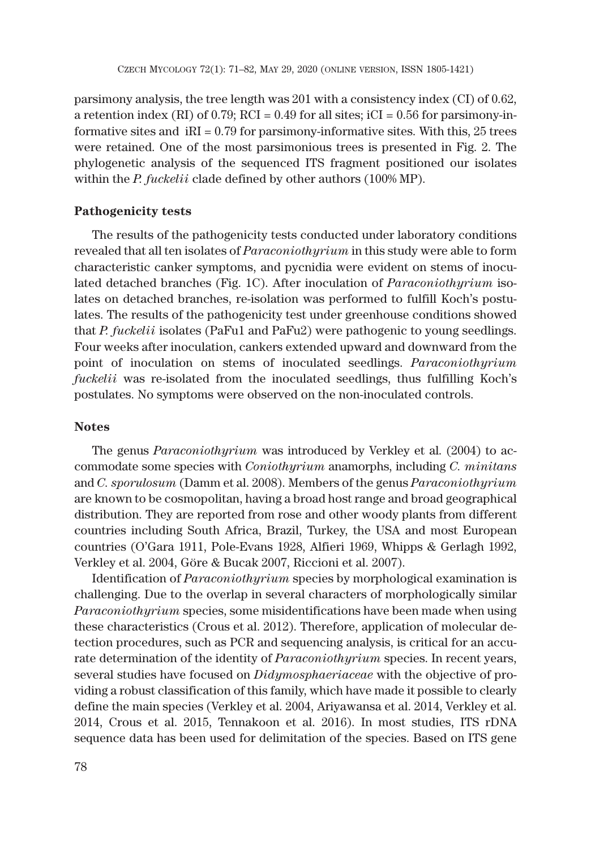parsimony analysis, the tree length was 201 with a consistency index (CI) of 0.62, a retention index (RI) of 0.79; RCI =  $0.49$  for all sites; iCI =  $0.56$  for parsimony-informative sites and  $iRI = 0.79$  for parsimony-informative sites. With this, 25 trees were retained. One of the most parsimonious trees is presented in Fig. 2. The phylogenetic analysis of the sequenced ITS fragment positioned our isolates within the *P. fuckelii* clade defined by other authors (100% MP).

# **Pathogenicity tests**

The results of the pathogenicity tests conducted under laboratory conditions revealed that all ten isolates of *Paraconiothyrium* in this study were able to form characteristic canker symptoms, and pycnidia were evident on stems of inoculated detached branches (Fig. 1C). After inoculation of *Paraconiothyrium* isolates on detached branches, re-isolation was performed to fulfill Koch's postulates. The results of the pathogenicity test under greenhouse conditions showed that *P. fuckelii* isolates (PaFu1 and PaFu2) were pathogenic to young seedlings. Four weeks after inoculation, cankers extended upward and downward from the point of inoculation on stems of inoculated seedlings. *Paraconiothyrium fuckelii* was re-isolated from the inoculated seedlings, thus fulfilling Koch's postulates. No symptoms were observed on the non-inoculated controls.

### **Notes**

The genus *Paraconiothyrium* was introduced by Verkley et al. (2004) to accommodate some species with *Coniothyrium* anamorphs, including *C. minitans* and *C. sporulosum* (Damm et al. 2008). Members of the genus *Paraconiothyrium* are known to be cosmopolitan, having a broad host range and broad geographical distribution. They are reported from rose and other woody plants from different countries including South Africa, Brazil, Turkey, the USA and most European countries (O'Gara 1911, Pole-Evans 1928, Alfieri 1969, Whipps & Gerlagh 1992, Verkley et al. 2004, Göre & Bucak 2007, Riccioni et al. 2007).

Identification of *Paraconiothyrium* species by morphological examination is challenging. Due to the overlap in several characters of morphologically similar *Paraconiothyrium* species, some misidentifications have been made when using these characteristics (Crous et al. 2012). Therefore, application of molecular detection procedures, such as PCR and sequencing analysis, is critical for an accurate determination of the identity of *Paraconiothyrium* species. In recent years, several studies have focused on *Didymosphaeriaceae* with the objective of providing a robust classification of this family, which have made it possible to clearly define the main species (Verkley et al. 2004, Ariyawansa et al. 2014, Verkley et al. 2014, Crous et al. 2015, Tennakoon et al. 2016). In most studies, ITS rDNA sequence data has been used for delimitation of the species. Based on ITS gene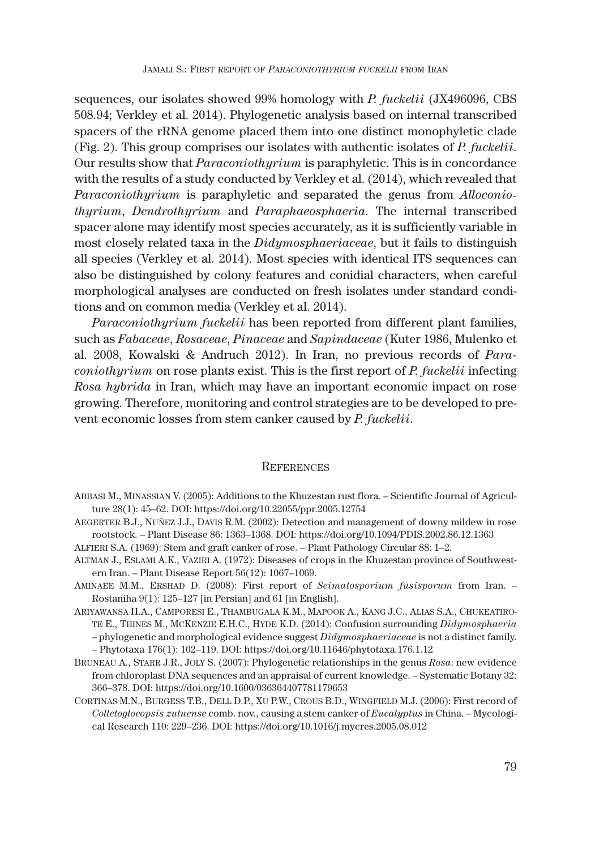sequences, our isolates showed 99% homology with *P. fuckelii* (JX496096, CBS 508.94; Verkley et al. 2014). Phylogenetic analysis based on internal transcribed spacers of the rRNA genome placed them into one distinct monophyletic clade (Fig. 2). This group comprises our isolates with authentic isolates of *P. fuckelii*. Our results show that *Paraconiothyrium* is paraphyletic. This is in concordance with the results of a study conducted by Verkley et al. (2014), which revealed that *Paraconiothyrium* is paraphyletic and separated the genus from *Alloconiothyrium*, *Dendrothyrium* and *Paraphaeosphaeria*. The internal transcribed spacer alone may identify most species accurately, as it is sufficiently variable in most closely related taxa in the *Didymosphaeriaceae*, but it fails to distinguish all species (Verkley et al. 2014). Most species with identical ITS sequences can also be distinguished by colony features and conidial characters, when careful morphological analyses are conducted on fresh isolates under standard conditions and on common media (Verkley et al. 2014).

*Paraconiothyrium fuckelii* has been reported from different plant families, such as *Fabaceae*, *Rosaceae*, *Pinaceae* and *Sapindaceae* (Kuter 1986, Mulenko et al. 2008, Kowalski & Andruch 2012). In Iran, no previous records of *Paraconiothyrium* on rose plants exist. This is the first report of *P. fuckelii* infecting *Rosa hybrida* in Iran, which may have an important economic impact on rose growing. Therefore, monitoring and control strategies are to be developed to prevent economic losses from stem canker caused by *P. fuckelii*.

### **REFERENCES**

- ABBASI M., MINASSIAN V. (2005): Additions to the Khuzestan rust flora. Scientific Journal of Agriculture 28(1): 45–62. DOI: https://doi.org/10.22055/ppr.2005.12754
- AEGERTER B.J., NUŃEZ J.J., DAVIS R.M. (2002): Detection and management of downy mildew in rose rootstock. – Plant Disease 86: 1363–1368. DOI: https://doi.org/10.1094/PDIS.2002.86.12.1363
- ALFIERI S.A. (1969): Stem and graft canker of rose. Plant Pathology Circular 88: 1–2.
- ALTMAN J., ESLAMI A.K., VAZIRI A. (1972): Diseases of crops in the Khuzestan province of Southwestern Iran. – Plant Disease Report 56(12): 1067–1069.
- AMINAEE M.M., ERSHAD D. (2008): First report of *Seimatosporium fusisporum* from Iran. Rostaniha 9(1): 125–127 [in Persian] and 61 [in English].
- ARIYAWANSA H.A., CAMPORESI E., THAMBUGALA K.M., MAPOOK A., KANG J.C., ALIAS S.A., CHUKEATIRO-TE E., THINES M., MCKENZIE E.H.C., HYDE K.D. (2014): Confusion surrounding *Didymosphaeria* – phylogenetic and morphological evidence suggest *Didymosphaeriaceae* is not a distinct family. – Phytotaxa 176(1): 102–119. DOI: https://doi.org/10.11646/phytotaxa.176.1.12
- BRUNEAU A., STARR J.R., JOLY S. (2007): Phylogenetic relationships in the genus *Rosa*: new evidence from chloroplast DNA sequences and an appraisal of current knowledge. – Systematic Botany 32: 366–378. DOI: https://doi.org/10.1600/036364407781179653
- CORTINAS M.N., BURGESS T.B., DELL D.P., XU P.W., CROUS B.D., WINGFIELD M.J. (2006): First record of *Colletogloeopsis zuluense* comb. nov., causing a stem canker of *Eucalyptus* in China. – Mycological Research 110: 229–236. DOI: https://doi.org/10.1016/j.mycres.2005.08.012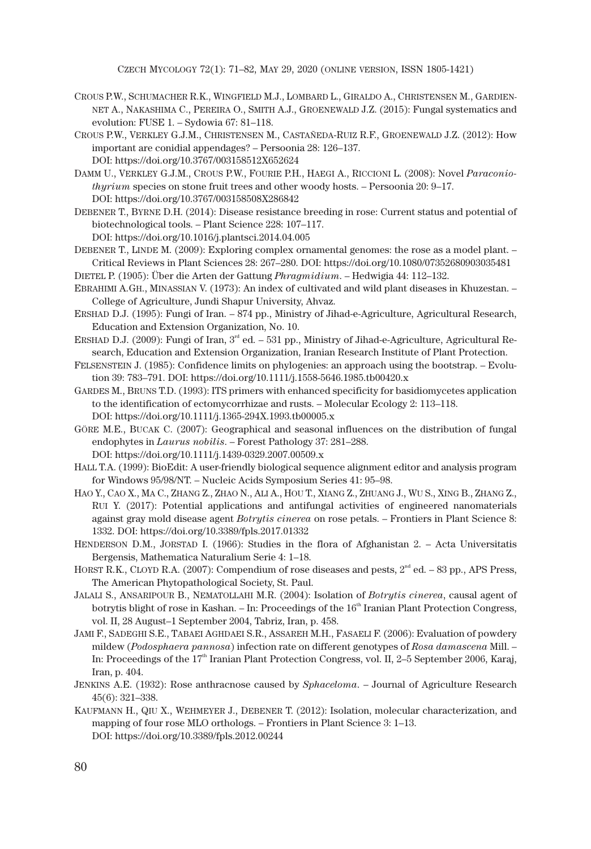CZECH MYCOLOGY 72(1): 71–82, MAY 29, 2020 (ONLINE VERSION, ISSN 1805-1421)

- CROUS P.W., SCHUMACHER R.K., WINGFIELD M.J., LOMBARD L., GIRALDO A., CHRISTENSEN M., GARDIEN-NET A., NAKASHIMA C., PEREIRA O., SMITH A.J., GROENEWALD J.Z. (2015): Fungal systematics and evolution: FUSE 1. – Sydowia 67: 81–118.
- CROUS P.W., VERKLEY G.J.M., CHRISTENSEN M., CASTAŃEDA-RUIZ R.F., GROENEWALD J.Z. (2012): How important are conidial appendages? – Persoonia 28: 126–137. DOI: https://doi.org/10.3767/003158512X652624
- DAMM U., VERKLEY G.J.M., CROUS P.W., FOURIE P.H., HAEGI A., RICCIONI L. (2008): Novel *Paraconiothyrium* species on stone fruit trees and other woody hosts. – Persoonia 20: 9–17. DOI: https://doi.org/10.3767/003158508X286842
- DEBENER T., BYRNE D.H. (2014): Disease resistance breeding in rose: Current status and potential of biotechnological tools. – Plant Science 228: 107–117. DOI: https://doi.org/10.1016/j.plantsci.2014.04.005
- DEBENER T., LINDE M. (2009): Exploring complex ornamental genomes: the rose as a model plant. Critical Reviews in Plant Sciences 28: 267–280. DOI: https://doi.org/10.1080/07352680903035481
- DIETEL P. (1905): Über die Arten der Gattung *Phragmidium*. Hedwigia 44: 112–132.
- EBRAHIMI A.GH., MINASSIAN V. (1973): An index of cultivated and wild plant diseases in Khuzestan. College of Agriculture, Jundi Shapur University, Ahvaz.
- ERSHAD D.J. (1995): Fungi of Iran. 874 pp., Ministry of Jihad-e-Agriculture, Agricultural Research, Education and Extension Organization, No. 10.
- ERSHAD D.J. (2009): Fungi of Iran,  $3^{rd}$  ed. 531 pp., Ministry of Jihad-e-Agriculture, Agricultural Research, Education and Extension Organization, Iranian Research Institute of Plant Protection.
- FELSENSTEIN J. (1985): Confidence limits on phylogenies: an approach using the bootstrap. Evolution 39: 783–791. DOI: https://doi.org/10.1111/j.1558-5646.1985.tb00420.x
- GARDES M., BRUNS T.D. (1993): ITS primers with enhanced specificity for basidiomycetes application to the identification of ectomycorrhizae and rusts. – Molecular Ecology 2: 113–118. DOI: https://doi.org/10.1111/j.1365-294X.1993.tb00005.x
- GÖRE M.E., BUCAK C. (2007): Geographical and seasonal influences on the distribution of fungal endophytes in *Laurus nobilis*. – Forest Pathology 37: 281–288. DOI: https://doi.org/10.1111/j.1439-0329.2007.00509.x
- HALL T.A. (1999): BioEdit: A user-friendly biological sequence alignment editor and analysis program for Windows 95/98/NT. – Nucleic Acids Symposium Series 41: 95–98.
- HAO Y., CAO X., MA C., ZHANG Z., ZHAO N., ALI A., HOU T., XIANG Z., ZHUANG J., WU S., XING B., ZHANG Z., RUI Y. (2017): Potential applications and antifungal activities of engineered nanomaterials against gray mold disease agent *Botrytis cinerea* on rose petals. – Frontiers in Plant Science 8: 1332. DOI: https://doi.org/10.3389/fpls.2017.01332
- HENDERSON D.M., JORSTAD I. (1966): Studies in the flora of Afghanistan 2. Acta Universitatis Bergensis, Mathematica Naturalium Serie 4: 1–18.
- HORST R.K., CLOYD R.A. (2007): Compendium of rose diseases and pests,  $2<sup>nd</sup>$  ed. 83 pp., APS Press, The American Phytopathological Society, St. Paul.
- JALALI S., ANSARIPOUR B., NEMATOLLAHI M.R. (2004): Isolation of *Botrytis cinerea*, causal agent of botrytis blight of rose in Kashan. – In: Proceedings of the  $16<sup>th</sup>$  Iranian Plant Protection Congress, vol. II, 28 August–1 September 2004, Tabriz, Iran, p. 458.
- JAMI F., SADEGHI S.E., TABAEI AGHDAEI S.R., ASSAREH M.H., FASAELI F. (2006): Evaluation of powdery mildew (*Podosphaera pannosa*) infection rate on different genotypes of *Rosa damascena* Mill. – In: Proceedings of the 17<sup>th</sup> Iranian Plant Protection Congress, vol. II, 2–5 September 2006, Karaj, Iran, p. 404.
- JENKINS A.E. (1932): Rose anthracnose caused by *Sphaceloma*. Journal of Agriculture Research 45(6): 321–338.
- KAUFMANN H., QIU X., WEHMEYER J., DEBENER T. (2012): Isolation, molecular characterization, and mapping of four rose MLO orthologs. – Frontiers in Plant Science 3: 1–13. DOI: https://doi.org/10.3389/fpls.2012.00244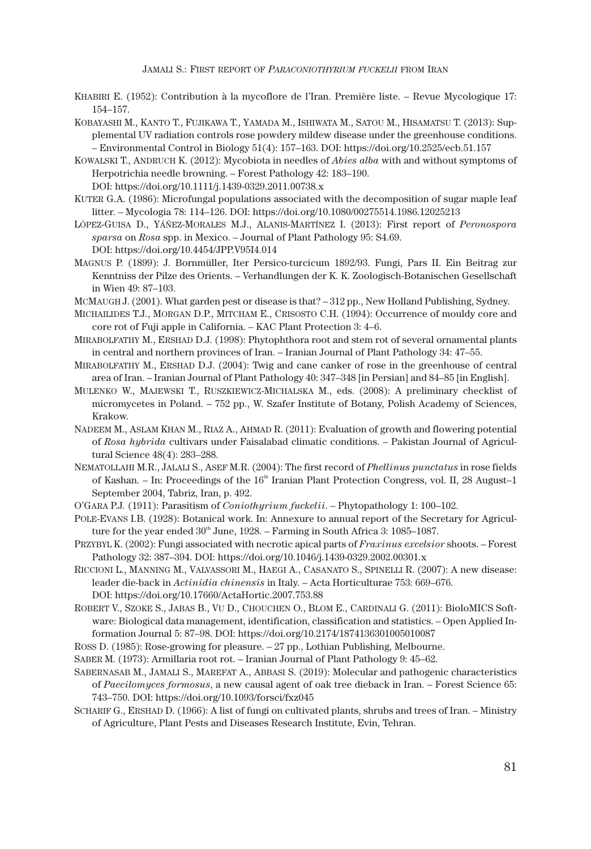JAMALI S.: FIRST REPORT OF *PARACONIOTHYRIUM FUCKELII* FROM IRAN

- KHABIRI E. (1952): Contribution à la mycoflore de l'Iran. Première liste. Revue Mycologique 17: 154–157.
- KOBAYASHI M., KANTO T., FUJIKAWA T., YAMADA M., ISHIWATA M., SATOU M., HISAMATSU T. (2013): Supplemental UV radiation controls rose powdery mildew disease under the greenhouse conditions. – Environmental Control in Biology 51(4): 157–163. DOI: https://doi.org/10.2525/ecb.51.157
- KOWALSKI T., ANDRUCH K. (2012): Mycobiota in needles of *Abies alba* with and without symptoms of Herpotrichia needle browning. – Forest Pathology 42: 183–190.
	- DOI: https://doi.org/10.1111/j.1439-0329.2011.00738.x
- KUTER G.A. (1986): Microfungal populations associated with the decomposition of sugar maple leaf litter. – Mycologia 78: 114–126. DOI: https://doi.org/10.1080/00275514.1986.12025213
- LÓPEZ-GUISA D., YÁŃEZ-MORALES M.J., ALANIS-MARTÍNEZ I. (2013): First report of *Peronospora sparsa* on *Rosa* spp. in Mexico. – Journal of Plant Pathology 95: S4.69. DOI: https://doi.org/10.4454/JPP.V95I4.014
- MAGNUS P. (1899): J. Bornmüller, Iter Persico-turcicum 1892/93. Fungi, Pars II. Ein Beitrag zur Kenntniss der Pilze des Orients. – Verhandlungen der K. K. Zoologisch-Botanischen Gesellschaft in Wien 49: 87–103.
- MCMAUGH J. (2001). What garden pest or disease is that? 312 pp., New Holland Publishing, Sydney.
- MICHAILIDES T.J., MORGAN D.P., MITCHAM E., CRISOSTO C.H. (1994): Occurrence of mouldy core and core rot of Fuji apple in California. – KAC Plant Protection 3: 4–6.
- MIRABOLFATHY M., ERSHAD D.J. (1998): Phytophthora root and stem rot of several ornamental plants in central and northern provinces of Iran. – Iranian Journal of Plant Pathology 34: 47–55.
- MIRABOLFATHY M., ERSHAD D.J. (2004): Twig and cane canker of rose in the greenhouse of central area of Iran. – Iranian Journal of Plant Pathology 40: 347–348 [in Persian] and 84–85 [in English].
- MULENKO W., MAJEWSKI T., RUSZKIEWICZ-MICHALSKA M., eds. (2008): A preliminary checklist of micromycetes in Poland. – 752 pp., W. Szafer Institute of Botany, Polish Academy of Sciences, Krakow.
- NADEEM M., ASLAM KHAN M., RIAZ A., AHMAD R. (2011): Evaluation of growth and flowering potential of *Rosa hybrida* cultivars under Faisalabad climatic conditions. – Pakistan Journal of Agricultural Science 48(4): 283–288.
- NEMATOLLAHI M.R., JALALI S., ASEF M.R. (2004): The first record of *Phellinus punctatus* in rose fields of Kashan. – In: Proceedings of the 16<sup>th</sup> Iranian Plant Protection Congress, vol. II, 28 August–1 September 2004, Tabriz, Iran, p. 492.
- O'GARA P.J*.* (1911): Parasitism of *Coniothyrium fuckelii*. Phytopathology 1: 100–102.
- POLE-EVANS I.B. (1928): Botanical work. In: Annexure to annual report of the Secretary for Agriculture for the year ended  $30<sup>th</sup>$  June, 1928. – Farming in South Africa 3: 1085–1087.
- PRZYBYL K. (2002): Fungi associated with necrotic apical parts of *Fraxinus excelsior* shoots. Forest Pathology 32: 387–394. DOI: https://doi.org/10.1046/j.1439-0329.2002.00301.x
- RICCIONI L., MANNING M., VALVASSORI M., HAEGI A., CASANATO S., SPINELLI R. (2007): A new disease: leader die-back in *Actinidia chinensis* in Italy. – Acta Horticulturae 753: 669–676. DOI: https://doi.org/10.17660/ActaHortic.2007.753.88
- ROBERT V., SZOKE S., JABAS B., VU D., CHOUCHEN O., BLOM E., CARDINALI G. (2011): BioloMICS Software: Biological data management, identification, classification and statistics. – Open Applied Information Journal 5: 87–98. DOI: https://doi.org/10.2174/1874136301005010087
- ROSS D. (1985): Rose-growing for pleasure. 27 pp., Lothian Publishing, Melbourne.
- SABER M. (1973): Armillaria root rot. Iranian Journal of Plant Pathology 9: 45–62.
- SABERNASAB M., JAMALI S., MAREFAT A., ABBASI S. (2019): Molecular and pathogenic characteristics of *Paecilomyces formosus*, a new causal agent of oak tree dieback in Iran. – Forest Science 65: 743–750. DOI: https://doi.org/10.1093/forsci/fxz045
- SCHARIF G., ERSHAD D. (1966): A list of fungi on cultivated plants, shrubs and trees of Iran. Ministry of Agriculture, Plant Pests and Diseases Research Institute, Evin, Tehran.